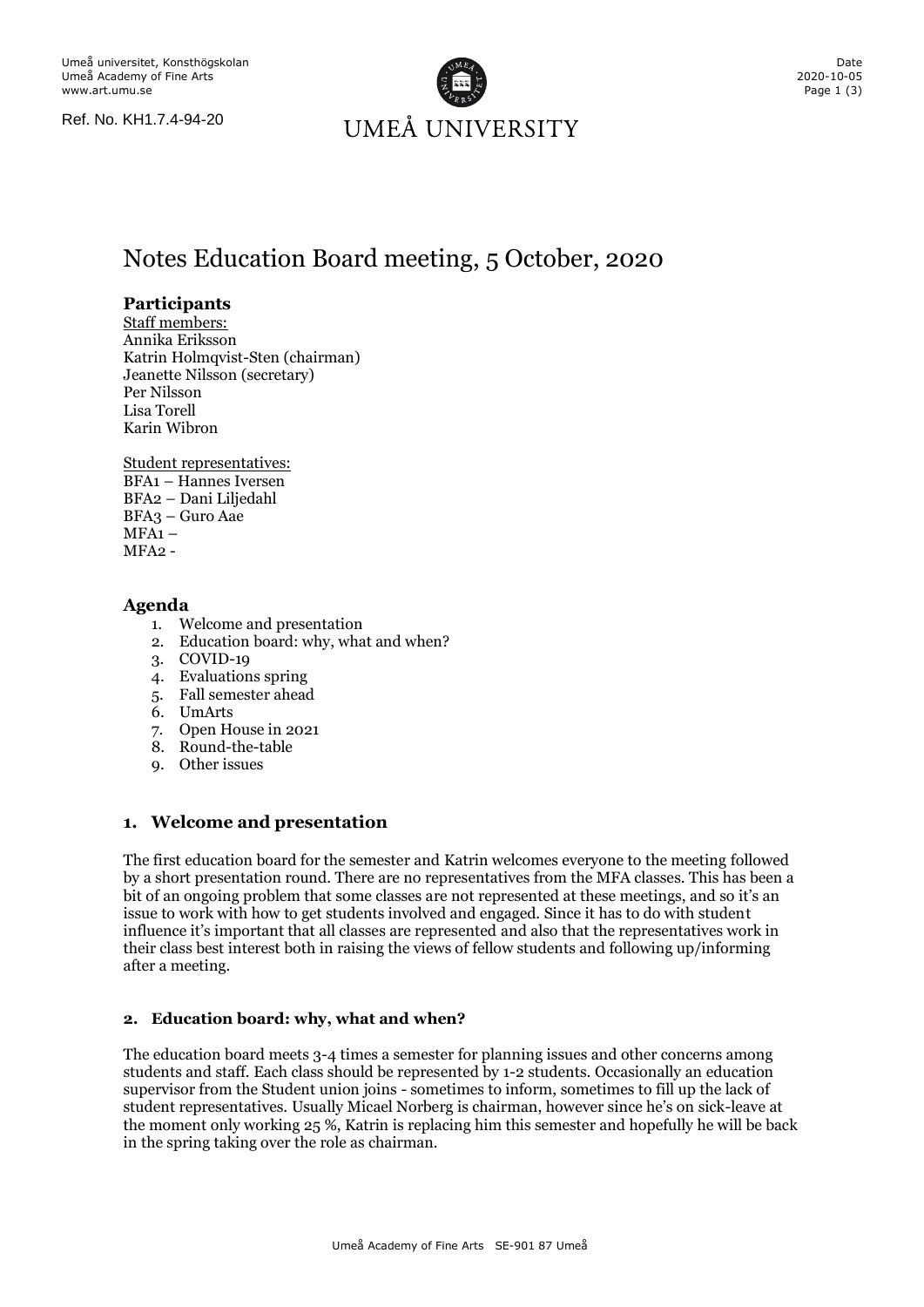Ref. No. KH1.7.4-94-20



# Notes Education Board meeting, 5 October, 2020

# **Participants**

Staff members: Annika Eriksson Katrin Holmqvist-Sten (chairman) Jeanette Nilsson (secretary) Per Nilsson Lisa Torell Karin Wibron

Student representatives: BFA1 – Hannes Iversen

BFA2 – Dani Liljedahl BFA3 – Guro Aae  $MFA1 MFA2 -$ 

## **Agenda**

- 1. Welcome and presentation
- 2. Education board: why, what and when?
- 3. COVID-19
- 4. Evaluations spring
- 5. Fall semester ahead
- 6. UmArts
- 7. Open House in 2021
- 8. Round-the-table
- 9. Other issues

# **1. Welcome and presentation**

The first education board for the semester and Katrin welcomes everyone to the meeting followed by a short presentation round. There are no representatives from the MFA classes. This has been a bit of an ongoing problem that some classes are not represented at these meetings, and so it's an issue to work with how to get students involved and engaged. Since it has to do with student influence it's important that all classes are represented and also that the representatives work in their class best interest both in raising the views of fellow students and following up/informing after a meeting.

# **2. Education board: why, what and when?**

The education board meets 3-4 times a semester for planning issues and other concerns among students and staff. Each class should be represented by 1-2 students. Occasionally an education supervisor from the Student union joins - sometimes to inform, sometimes to fill up the lack of student representatives. Usually Micael Norberg is chairman, however since he's on sick-leave at the moment only working 25 %, Katrin is replacing him this semester and hopefully he will be back in the spring taking over the role as chairman.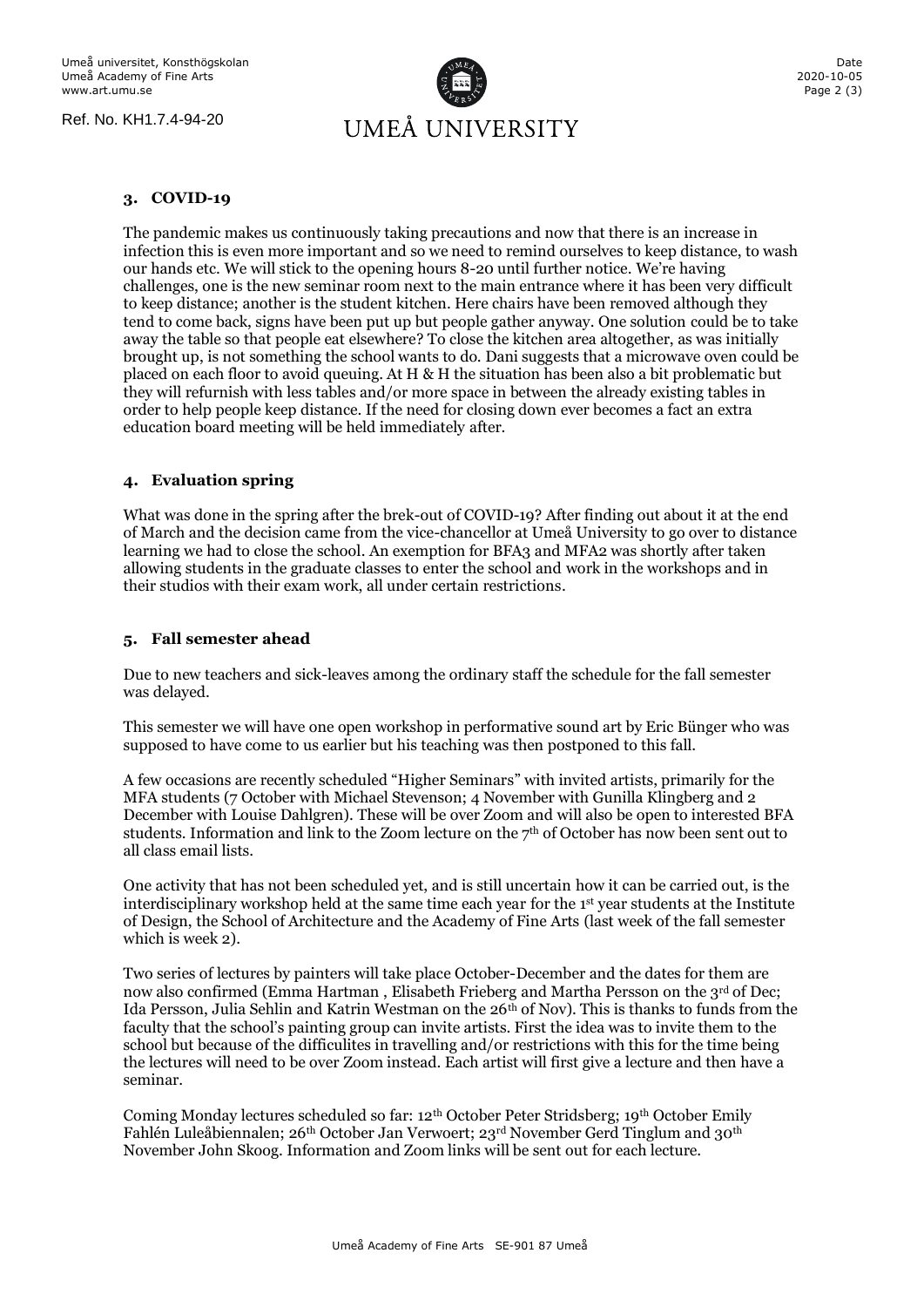Ref. No. KH1.7.4-94-20



#### **3. COVID-19**

The pandemic makes us continuously taking precautions and now that there is an increase in infection this is even more important and so we need to remind ourselves to keep distance, to wash our hands etc. We will stick to the opening hours 8-20 until further notice. We're having challenges, one is the new seminar room next to the main entrance where it has been very difficult to keep distance; another is the student kitchen. Here chairs have been removed although they tend to come back, signs have been put up but people gather anyway. One solution could be to take away the table so that people eat elsewhere? To close the kitchen area altogether, as was initially brought up, is not something the school wants to do. Dani suggests that a microwave oven could be placed on each floor to avoid queuing. At H & H the situation has been also a bit problematic but they will refurnish with less tables and/or more space in between the already existing tables in order to help people keep distance. If the need for closing down ever becomes a fact an extra education board meeting will be held immediately after.

#### **4. Evaluation spring**

What was done in the spring after the brek-out of COVID-19? After finding out about it at the end of March and the decision came from the vice-chancellor at Umeå University to go over to distance learning we had to close the school. An exemption for BFA3 and MFA2 was shortly after taken allowing students in the graduate classes to enter the school and work in the workshops and in their studios with their exam work, all under certain restrictions.

## **5. Fall semester ahead**

Due to new teachers and sick-leaves among the ordinary staff the schedule for the fall semester was delayed.

This semester we will have one open workshop in performative sound art by Eric Bünger who was supposed to have come to us earlier but his teaching was then postponed to this fall.

A few occasions are recently scheduled "Higher Seminars" with invited artists, primarily for the MFA students (7 October with Michael Stevenson; 4 November with Gunilla Klingberg and 2 December with Louise Dahlgren). These will be over Zoom and will also be open to interested BFA students. Information and link to the Zoom lecture on the 7<sup>th</sup> of October has now been sent out to all class email lists.

One activity that has not been scheduled yet, and is still uncertain how it can be carried out, is the interdisciplinary workshop held at the same time each year for the 1st year students at the Institute of Design, the School of Architecture and the Academy of Fine Arts (last week of the fall semester which is week 2).

Two series of lectures by painters will take place October-December and the dates for them are now also confirmed (Emma Hartman, Elisabeth Frieberg and Martha Persson on the 3rd of Dec; Ida Persson, Julia Sehlin and Katrin Westman on the  $26<sup>th</sup>$  of Nov). This is thanks to funds from the faculty that the school's painting group can invite artists. First the idea was to invite them to the school but because of the difficulites in travelling and/or restrictions with this for the time being the lectures will need to be over Zoom instead. Each artist will first give a lecture and then have a seminar.

Coming Monday lectures scheduled so far: 12th October Peter Stridsberg; 19th October Emily Fahlén Luleåbiennalen; 26th October Jan Verwoert; 23rd November Gerd Tinglum and 30th November John Skoog. Information and Zoom links will be sent out for each lecture.